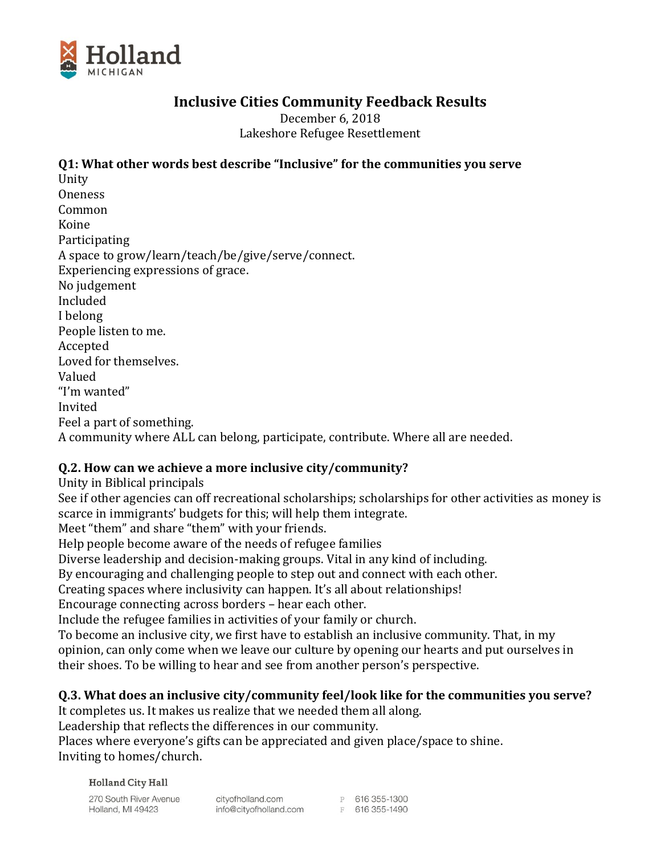

## **Inclusive Cities Community Feedback Results**

December 6, 2018 Lakeshore Refugee Resettlement

## **Q1: What other words best describe "Inclusive" for the communities you serve**

Unity Oneness Common Koine Participating A space to grow/learn/teach/be/give/serve/connect. Experiencing expressions of grace. No judgement Included I belong People listen to me. Accepted Loved for themselves. Valued "I'm wanted" Invited Feel a part of something. A community where ALL can belong, participate, contribute. Where all are needed.

## **Q.2. How can we achieve a more inclusive city/community?**

Unity in Biblical principals

See if other agencies can off recreational scholarships; scholarships for other activities as money is scarce in immigrants' budgets for this; will help them integrate.

Meet "them" and share "them" with your friends.

Help people become aware of the needs of refugee families

Diverse leadership and decision-making groups. Vital in any kind of including.

By encouraging and challenging people to step out and connect with each other.

Creating spaces where inclusivity can happen. It's all about relationships!

Encourage connecting across borders – hear each other.

Include the refugee families in activities of your family or church.

To become an inclusive city, we first have to establish an inclusive community. That, in my opinion, can only come when we leave our culture by opening our hearts and put ourselves in their shoes. To be willing to hear and see from another person's perspective.

## **Q.3. What does an inclusive city/community feel/look like for the communities you serve?**

It completes us. It makes us realize that we needed them all along.

Leadership that reflects the differences in our community.

Places where everyone's gifts can be appreciated and given place/space to shine. Inviting to homes/church.

**Holland City Hall** 

270 South River Avenue Holland, MI 49423

cityofholland.com <br>info@cityofholland.com F 616 355-1490